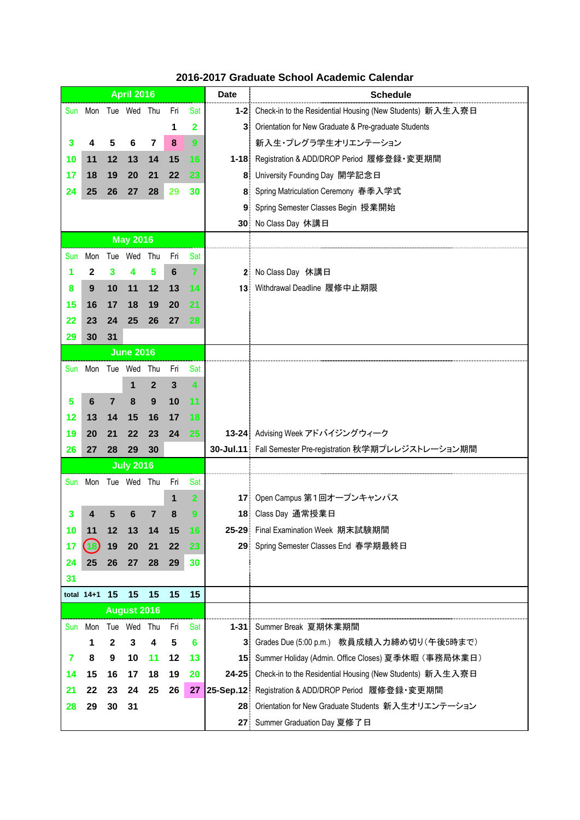|            |                     |                  | <b>April 2016</b>  |              |                 |                | <b>Date</b> | <b>Schedule</b>                                                  |
|------------|---------------------|------------------|--------------------|--------------|-----------------|----------------|-------------|------------------------------------------------------------------|
|            | Sun Mon             |                  | Tue Wed Thu        |              | Fri             | Sat            |             | 1-2: Check-in to the Residential Housing (New Students) 新入生入寮日   |
|            |                     |                  |                    |              | 1               | 2              |             | 3: Orientation for New Graduate & Pre-graduate Students          |
| 3          | 4                   | 5                | 6                  | 7            | 8               | 9              |             | 新入生・プレグラ学生オリエンテーション                                              |
| 10         | 11                  | 12               | 13                 | 14           | 15              | 16             |             | 1-18: Registration & ADD/DROP Period 履修登録 · 変更期間                 |
| 17         | 18                  | 19               | 20                 | 21           | 22              | 23             |             | 8: University Founding Day 開学記念日                                 |
| 24         | 25                  | 26               | 27                 | 28           | 29              | 30             |             | 8: Spring Matriculation Ceremony 春季入学式                           |
|            |                     |                  |                    |              |                 |                | 9.          | Spring Semester Classes Begin 授業開始                               |
|            |                     |                  |                    |              |                 |                |             | 30 No Class Day 休講日                                              |
|            |                     |                  | <b>May 2016</b>    |              |                 |                |             |                                                                  |
| Sun        | Mon                 |                  | Tue Wed Thu        |              | Fri             | Sat            |             |                                                                  |
|            | 2                   | 3                | 4                  | 5            | $6\phantom{1}6$ | $\overline{7}$ |             | 2 No Class Day 休講日                                               |
| 8          | 9                   | 10               | 11                 | 12           | 13              | -14            |             | 13 Withdrawal Deadline 履修中止期限                                    |
| 15         | 16                  | 17               | 18                 | 19           | 20              | 21             |             |                                                                  |
| 22         | 23                  | 24               | 25                 | 26           | 27              | 28             |             |                                                                  |
| 29         | 30                  | 31               |                    |              |                 |                |             |                                                                  |
|            |                     |                  | <b>June 2016</b>   |              |                 |                |             |                                                                  |
|            | Sun Mon Tue Wed Thu |                  |                    |              | Fri             | Sat            |             |                                                                  |
|            |                     |                  | 1                  | $\mathbf{2}$ | 3               | 4              |             |                                                                  |
| 5          | 6                   | $\overline{7}$   | 8                  | 9            | 10              | 11             |             |                                                                  |
| 12         | 13                  | 14               | 15                 | 16           | 17              | 18             |             |                                                                  |
| 19         | 20                  | 21               | 22                 | 23           | 24              | 25             |             | 13-24 Advising Week アドバイジングウィーク                                  |
| 26         | 27                  | 28               | 29                 | 30           |                 |                |             | 30-Jul.11 Fall Semester Pre-registration 秋学期プレレジストレーション期間        |
|            |                     |                  | <b>July 2016</b>   |              |                 |                |             |                                                                  |
| <b>Sun</b> | Mon                 |                  | Tue Wed Thu        |              | Fri             | Sat            |             |                                                                  |
|            |                     |                  |                    |              | 1               | $\overline{2}$ | 17.         | Open Campus 第1回オープンキャンパス                                         |
| 3          | 4                   | 5                | 6                  | 7            | 8               | 9              |             | 18 Class Day 通常授業日                                               |
| 10         | 11                  | 12               | 13                 | 14           | 15              | 16             |             | 25-29 Final Examination Week 期末試験期間                              |
| 17         | (18                 | 19               | 20                 | 21           | 22              | 23             |             | 29 Spring Semester Classes End 春学期最終日                            |
| 24         | 25                  | 26               | 27                 | 28           | 29              | 30             |             |                                                                  |
| 31         |                     |                  |                    |              |                 |                |             |                                                                  |
|            | total 14+1          | 15               | 15                 | 15           | 15              | 15             |             |                                                                  |
|            |                     |                  | <b>August 2016</b> |              |                 |                |             |                                                                  |
| Sun        |                     |                  | Mon Tue Wed Thu    |              | Fri             | Sat            |             | 1-31: Summer Break 夏期休業期間                                        |
|            | 1                   | $\boldsymbol{2}$ | 3                  | 4            | 5               | 6              |             | 3 Grades Due (5:00 p.m.) 教員成績入力締め切り(午後5時まで)                      |
| 7          | 8                   | 9                | 10                 | 11           | 12              | 13             |             | 15: Summer Holiday (Admin. Office Closes) 夏季休暇 (事務局休業日)          |
| 14         | 15                  | 16               | 17                 | 18           | 19              | 20             |             | 24-25: Check-in to the Residential Housing (New Students) 新入生入寮日 |
| 21         | 22                  | 23               | 24                 | 25           | 26              | 27             |             | 25-Sep.12: Registration & ADD/DROP Period 履修登録·変更期間              |
| 28         | 29                  | 30               | 31                 |              |                 |                |             | 28: Orientation for New Graduate Students 新入生オリエンテーション           |
|            |                     |                  |                    |              |                 |                |             | 27 Summer Graduation Day 夏修了日                                    |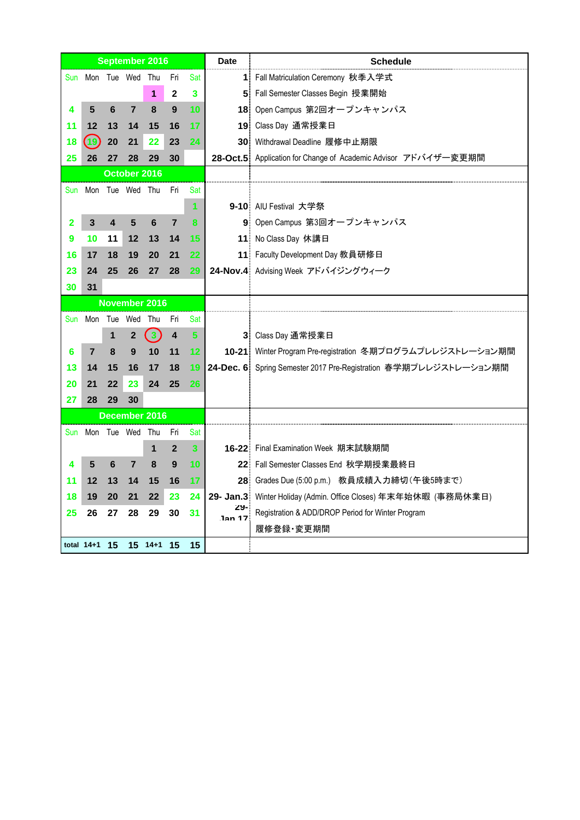|     |                                                                  |                         |                 | September 2016          |                |                         | <b>Date</b>         | <b>Schedule</b>                                                   |
|-----|------------------------------------------------------------------|-------------------------|-----------------|-------------------------|----------------|-------------------------|---------------------|-------------------------------------------------------------------|
| Sun |                                                                  |                         | Mon Tue Wed Thu |                         | Fri            | Sat                     |                     | 1. Fall Matriculation Ceremony 秋季入学式                              |
|     |                                                                  |                         |                 | 1                       | $\mathbf{2}$   | 3                       |                     | 5 Fall Semester Classes Begin 授業開始                                |
| 4   | 5                                                                | 6                       | $\overline{7}$  | 8                       | 9              | 10                      |                     | 18 Open Campus 第2回オープンキャンパス                                       |
| 11  | 12                                                               | 13                      | 14              | 15                      | 16             | 17                      |                     | 19 Class Day 通常授業日                                                |
| 18  | $\left( \begin{smallmatrix} 1&0 \ 0&1 \end{smallmatrix} \right)$ | 20                      | 21              | 22                      | 23             | 24                      |                     | 30: Withdrawal Deadline 履修中止期限                                    |
| 25  | 26                                                               | 27                      | 28              | 29                      | 30             |                         |                     | 28-Oct.5 Application for Change of Academic Advisor アドバイザー変更期間    |
|     |                                                                  |                         | October 2016    |                         |                |                         |                     |                                                                   |
|     | Sun Mon Tue Wed Thu                                              |                         |                 |                         | Fri            | Sat                     |                     |                                                                   |
|     |                                                                  |                         |                 |                         |                | 1                       |                     | 9-10 AIU Festival 大学祭                                             |
| 2   | 3                                                                | $\overline{\mathbf{4}}$ | 5               | 6                       | $\overline{7}$ | 8                       |                     | 9 Open Campus 第3回オープンキャンパス                                        |
| 9   | 10                                                               | 11                      | 12              | 13                      | 14             | 15                      |                     | 11: No Class Day 休講日                                              |
| 16  | 17                                                               | 18                      | 19              | 20                      | 21             | 22                      |                     | 11 Faculty Development Day 教員研修日                                  |
| 23  | 24                                                               | 25                      | 26              | 27                      | 28             | 29                      |                     | 24-Nov.4 Advising Week アドバイジングウィーク                                |
| 30  | 31                                                               |                         |                 |                         |                |                         |                     |                                                                   |
|     |                                                                  |                         |                 | November 2016           |                |                         |                     |                                                                   |
| Sun |                                                                  |                         | Mon Tue Wed     | Thu                     | Fri            | Sat                     |                     |                                                                   |
|     |                                                                  | 1                       | 2               | $\overline{\mathbf{3}}$ | 4              | 5                       |                     | 3 Class Day 通常授業日                                                 |
| 6   | $\overline{7}$                                                   | 8                       | 9               | 10                      | 11             | 12                      |                     | 10-21: Winter Program Pre-registration 冬期プログラムプレレジストレーション期間       |
| 13  | 14                                                               | 15                      | 16              | 17                      | 18             | 19                      |                     | 24-Dec. 6: Spring Semester 2017 Pre-Registration 春学期プレレジストレーション期間 |
| 20  | 21                                                               | 22                      | 23              | 24                      | 25             | 26                      |                     |                                                                   |
| 27  | 28                                                               | 29                      | 30              |                         |                |                         |                     |                                                                   |
|     |                                                                  |                         |                 | December 2016           |                |                         |                     |                                                                   |
|     | Sun Mon Tue Wed Thu                                              |                         |                 |                         | Fri            | Sat                     |                     |                                                                   |
|     |                                                                  |                         |                 | 1                       | $\mathbf{2}$   | $\overline{\mathbf{3}}$ |                     | 16-22: Final Examination Week 期末試験期間                              |
| 4   | 5                                                                | 6                       | 7               | 8                       | 9              | 10                      |                     | 22: Fall Semester Classes End 秋学期授業最終日                            |
| 11  | 12                                                               | 13                      | 14              | 15                      | 16             | 17                      |                     | 28 Grades Due (5:00 p.m.) 教員成績入力締切 (午後5時まで)                       |
| 18  | 19                                                               | 20                      | 21              | 22                      | 23             | 24                      |                     | 29- Jan.3: Winter Holiday (Admin. Office Closes) 年末年始休暇 (事務局休業日)  |
| 25  | 26                                                               | 27                      | 28              | 29                      | 30             | 31                      | 29<br><b>Jan 17</b> | Registration & ADD/DROP Period for Winter Program                 |
|     |                                                                  |                         |                 |                         |                |                         |                     | 履修登録·変更期間                                                         |
|     | total $14+1$ 15                                                  |                         |                 | 15 14+1 15              |                | 15                      |                     |                                                                   |